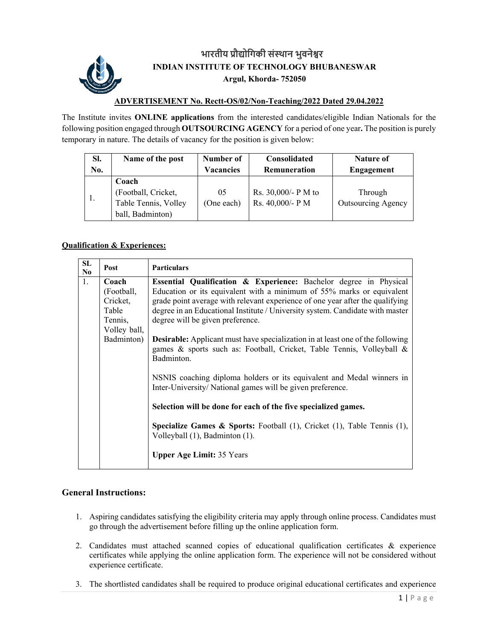

## **भारतीय ŮौȨोिगकी सं̾थान भुवनेʷर INDIAN INSTITUTE OF TECHNOLOGY BHUBANESWAR Argul, Khorda- 752050**

## **ADVERTISEMENT No. Rectt-OS/02/Non-Teaching/2022 Dated 29.04.2022**

The Institute invites **ONLINE applications** from the interested candidates/eligible Indian Nationals for the following position engaged through **OUTSOURCING AGENCY** for a period of one year**.** The position is purely temporary in nature. The details of vacancy for the position is given below:

| SI. | Name of the post                                                         | Number of        | <b>Consolidated</b>                     | Nature of                            |
|-----|--------------------------------------------------------------------------|------------------|-----------------------------------------|--------------------------------------|
| No. |                                                                          | <b>Vacancies</b> | Remuneration                            | Engagement                           |
|     | Coach<br>(Football, Cricket,<br>Table Tennis, Volley<br>ball, Badminton) | 05<br>(One each) | Rs. 30,000/- P M to<br>Rs. 40,000/- P M | Through<br><b>Outsourcing Agency</b> |

## **Qualification & Experiences:**

| <b>SL</b><br>N <sub>0</sub> | Post                                                                              | <b>Particulars</b>                                                                                                                                                                                                                                                                                                                                                                                                                                                                                                                                                                                                                                                                                                                       |
|-----------------------------|-----------------------------------------------------------------------------------|------------------------------------------------------------------------------------------------------------------------------------------------------------------------------------------------------------------------------------------------------------------------------------------------------------------------------------------------------------------------------------------------------------------------------------------------------------------------------------------------------------------------------------------------------------------------------------------------------------------------------------------------------------------------------------------------------------------------------------------|
| 1.                          | Coach<br>(Football,<br>Cricket,<br>Table<br>Tennis,<br>Volley ball,<br>Badminton) | Essential Qualification & Experience: Bachelor degree in Physical<br>Education or its equivalent with a minimum of 55% marks or equivalent<br>grade point average with relevant experience of one year after the qualifying<br>degree in an Educational Institute / University system. Candidate with master<br>degree will be given preference.<br><b>Desirable:</b> Applicant must have specialization in at least one of the following<br>games & sports such as: Football, Cricket, Table Tennis, Volleyball &<br>Badminton.<br>NSNIS coaching diploma holders or its equivalent and Medal winners in<br>Inter-University/National games will be given preference.<br>Selection will be done for each of the five specialized games. |
|                             |                                                                                   | Specialize Games & Sports: Football (1), Cricket (1), Table Tennis (1),<br>Volleyball (1), Badminton (1).<br><b>Upper Age Limit: 35 Years</b>                                                                                                                                                                                                                                                                                                                                                                                                                                                                                                                                                                                            |

## **General Instructions:**

- 1. Aspiring candidates satisfying the eligibility criteria may apply through online process. Candidates must go through the advertisement before filling up the online application form.
- 2. Candidates must attached scanned copies of educational qualification certificates & experience certificates while applying the online application form. The experience will not be considered without experience certificate.
- 3. The shortlisted candidates shall be required to produce original educational certificates and experience